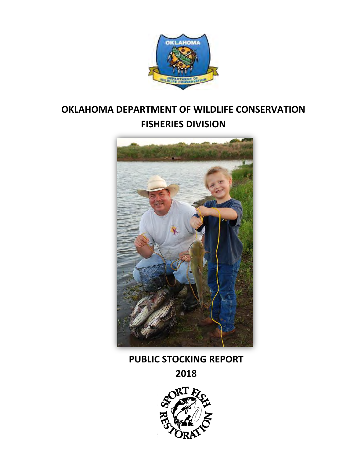

# **OKLAHOMA DEPARTMENT OF WILDLIFE CONSERVATION FISHERIES DIVISION**



## **PUBLIC STOCKING REPORT**

**2018**

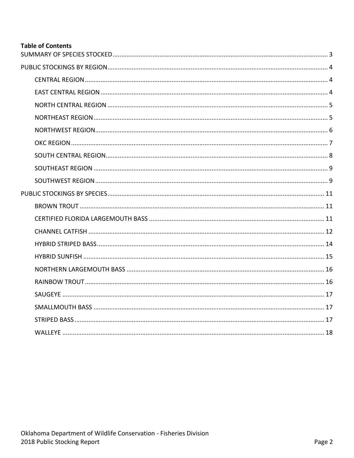## **Table of Contents**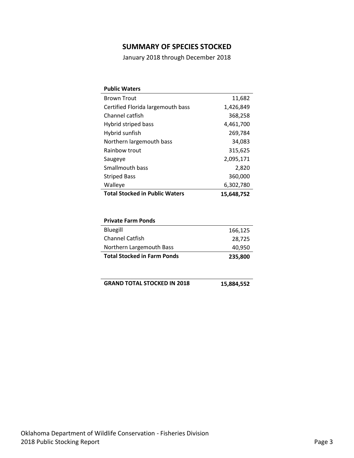## **SUMMARY OF SPECIES STOCKED**

January 2018 through December 2018

<span id="page-2-0"></span>

| <b>Public Waters</b>                  |            |
|---------------------------------------|------------|
| <b>Brown Trout</b>                    | 11,682     |
| Certified Florida largemouth bass     | 1,426,849  |
| Channel catfish                       | 368,258    |
| Hybrid striped bass                   | 4,461,700  |
| Hybrid sunfish                        | 269,784    |
| Northern largemouth bass              | 34,083     |
| Rainbow trout                         | 315,625    |
| Saugeye                               | 2,095,171  |
| Smallmouth bass                       | 2,820      |
| <b>Striped Bass</b>                   | 360,000    |
| Walleye                               | 6,302,780  |
| <b>Total Stocked in Public Waters</b> | 15,648,752 |
|                                       |            |

| <b>Private Farm Ponds</b>          |         |
|------------------------------------|---------|
| Bluegill                           | 166,125 |
| <b>Channel Catfish</b>             | 28,725  |
| Northern Largemouth Bass           | 40,950  |
| <b>Total Stocked in Farm Ponds</b> | 235,800 |

| <b>GRAND TOTAL STOCKED IN 2018</b> | 15,884,552 |
|------------------------------------|------------|
|                                    |            |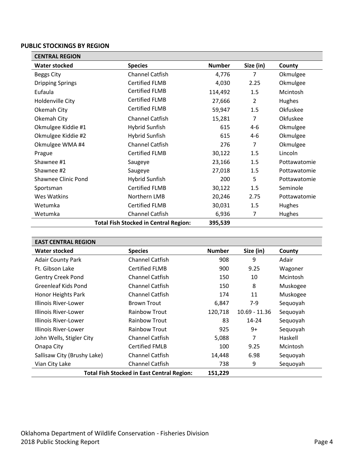#### <span id="page-3-0"></span>**PUBLIC STOCKINGS BY REGION**

<span id="page-3-1"></span>

| <b>CENTRAL REGION</b>      |                                              |               |                |              |  |
|----------------------------|----------------------------------------------|---------------|----------------|--------------|--|
| <b>Water stocked</b>       | <b>Species</b>                               | <b>Number</b> | Size (in)      | County       |  |
| <b>Beggs City</b>          | <b>Channel Catfish</b>                       | 4,776         | 7              | Okmulgee     |  |
| <b>Dripping Springs</b>    | <b>Certified FLMB</b>                        | 4,030         | 2.25           | Okmulgee     |  |
| Eufaula                    | <b>Certified FLMB</b>                        | 114,492       | 1.5            | Mcintosh     |  |
| Holdenville City           | <b>Certified FLMB</b>                        | 27,666        | $\overline{2}$ | Hughes       |  |
| Okemah City                | <b>Certified FLMB</b>                        | 59,947        | 1.5            | Okfuskee     |  |
| Okemah City                | <b>Channel Catfish</b>                       | 15,281        | 7              | Okfuskee     |  |
| Okmulgee Kiddie #1         | <b>Hybrid Sunfish</b>                        | 615           | $4 - 6$        | Okmulgee     |  |
| Okmulgee Kiddie #2         | <b>Hybrid Sunfish</b>                        | 615           | 4-6            | Okmulgee     |  |
| Okmulgee WMA #4            | <b>Channel Catfish</b>                       | 276           | 7              | Okmulgee     |  |
| Prague                     | <b>Certified FLMB</b>                        | 30,122        | 1.5            | Lincoln      |  |
| Shawnee #1                 | Saugeye                                      | 23,166        | 1.5            | Pottawatomie |  |
| Shawnee #2                 | Saugeye                                      | 27,018        | 1.5            | Pottawatomie |  |
| <b>Shawnee Clinic Pond</b> | <b>Hybrid Sunfish</b>                        | 200           | 5              | Pottawatomie |  |
| Sportsman                  | <b>Certified FLMB</b>                        | 30,122        | 1.5            | Seminole     |  |
| Wes Watkins                | Northern LMB                                 | 20,246        | 2.75           | Pottawatomie |  |
| Wetumka                    | <b>Certified FLMB</b>                        | 30,031        | 1.5            | Hughes       |  |
| Wetumka                    | Channel Catfish                              | 6,936         | 7              | Hughes       |  |
|                            | <b>Total Fish Stocked in Central Region:</b> | 395,539       |                |              |  |

<span id="page-3-2"></span>

| <b>EAST CENTRAL REGION</b>                                   |                        |               |                 |          |
|--------------------------------------------------------------|------------------------|---------------|-----------------|----------|
| Water stocked                                                | <b>Species</b>         | <b>Number</b> | Size (in)       | County   |
| <b>Adair County Park</b>                                     | <b>Channel Catfish</b> | 908           | 9               | Adair    |
| Ft. Gibson Lake                                              | <b>Certified FLMB</b>  | 900           | 9.25            | Wagoner  |
| <b>Gentry Creek Pond</b>                                     | <b>Channel Catfish</b> | 150           | 10              | Mcintosh |
| Greenleaf Kids Pond                                          | <b>Channel Catfish</b> | 150           | 8               | Muskogee |
| Honor Heights Park                                           | <b>Channel Catfish</b> | 174           | 11              | Muskogee |
| Illinois River-Lower                                         | <b>Brown Trout</b>     | 6,847         | $7-9$           | Sequoyah |
| Illinois River-Lower                                         | <b>Rainbow Trout</b>   | 120,718       | $10.69 - 11.36$ | Sequoyah |
| Illinois River-Lower                                         | <b>Rainbow Trout</b>   | 83            | $14 - 24$       | Sequoyah |
| Illinois River-Lower                                         | <b>Rainbow Trout</b>   | 925           | 9+              | Sequoyah |
| John Wells, Stigler City                                     | <b>Channel Catfish</b> | 5,088         |                 | Haskell  |
| Onapa City                                                   | <b>Certified FMLB</b>  | 100           | 9.25            | Mcintosh |
| Sallisaw City (Brushy Lake)                                  | <b>Channel Catfish</b> | 14,448        | 6.98            | Sequoyah |
| Vian City Lake                                               | <b>Channel Catfish</b> | 738           | 9               | Sequoyah |
| <b>Total Fish Stocked in East Central Region:</b><br>151,229 |                        |               |                 |          |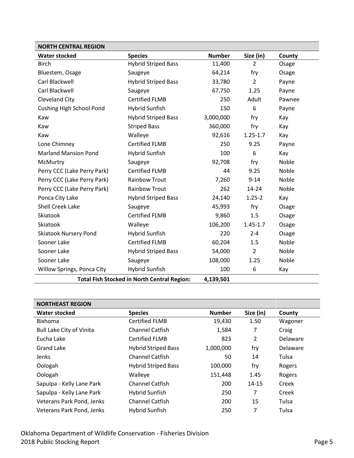<span id="page-4-0"></span>

| <b>NORTH CENTRAL REGION</b>                                     |                            |               |                |        |
|-----------------------------------------------------------------|----------------------------|---------------|----------------|--------|
| <b>Water stocked</b>                                            | <b>Species</b>             | <b>Number</b> | Size (in)      | County |
| <b>Birch</b>                                                    | <b>Hybrid Striped Bass</b> | 11,400        | $\overline{2}$ | Osage  |
| Bluestem, Osage                                                 | Saugeye                    | 64,214        | fry            | Osage  |
| Carl Blackwell                                                  | <b>Hybrid Striped Bass</b> | 33,780        | $\overline{2}$ | Payne  |
| Carl Blackwell                                                  | Saugeye                    | 67,750        | 1.25           | Payne  |
| Cleveland City                                                  | <b>Certified FLMB</b>      | 250           | Adult          | Pawnee |
| <b>Cushing High School Pond</b>                                 | <b>Hybrid Sunfish</b>      | 150           | 6              | Payne  |
| Kaw                                                             | <b>Hybrid Striped Bass</b> | 3,000,000     | fry            | Kay    |
| Kaw                                                             | <b>Striped Bass</b>        | 360,000       | fry            | Kay    |
| Kaw                                                             | Walleye                    | 92,616        | $1.25 - 1.7$   | Kay    |
| Lone Chimney                                                    | <b>Certified FLMB</b>      | 250           | 9.25           | Payne  |
| <b>Marland Mansion Pond</b>                                     | <b>Hybrid Sunfish</b>      | 100           | 6              | Kay    |
| McMurtry                                                        | Saugeye                    | 92,708        | fry            | Noble  |
| Perry CCC (Lake Perry Park)                                     | <b>Certified FLMB</b>      | 44            | 9.25           | Noble  |
| Perry CCC (Lake Perry Park)                                     | <b>Rainbow Trout</b>       | 7,260         | $9 - 14$       | Noble  |
| Perry CCC (Lake Perry Park)                                     | <b>Rainbow Trout</b>       | 262           | $14 - 24$      | Noble  |
| Ponca City Lake                                                 | <b>Hybrid Striped Bass</b> | 24,140        | $1.25 - 2$     | Kay    |
| Shell Creek Lake                                                | Saugeye                    | 45,993        | fry            | Osage  |
| Skiatook                                                        | <b>Certified FLMB</b>      | 9,860         | 1.5            | Osage  |
| Skiatook                                                        | Walleye                    | 106,200       | $1.45 - 1.7$   | Osage  |
| <b>Skiatook Nursery Pond</b>                                    | <b>Hybrid Sunfish</b>      | 220           | $2 - 4$        | Osage  |
| Sooner Lake                                                     | <b>Certified FLMB</b>      | 60,204        | 1.5            | Noble  |
| Sooner Lake                                                     | <b>Hybrid Striped Bass</b> | 54,000        | $\overline{2}$ | Noble  |
| Sooner Lake                                                     | Saugeye                    | 108,000       | 1.25           | Noble  |
| Willow Springs, Ponca City                                      | <b>Hybrid Sunfish</b>      | 100           | 6              | Kay    |
| <b>Total Fish Stocked in North Central Region:</b><br>4,139,501 |                            |               |                |        |

<span id="page-4-1"></span>

| <b>NORTHEAST REGION</b>         |                            |               |           |          |
|---------------------------------|----------------------------|---------------|-----------|----------|
| <b>Water stocked</b>            | <b>Species</b>             | <b>Number</b> | Size (in) | County   |
| <b>Bixhoma</b>                  | <b>Certified FLMB</b>      | 19,430        | 1.50      | Wagoner  |
| <b>Bull Lake City of Vinita</b> | <b>Channel Catfish</b>     | 1,584         | 7         | Craig    |
| Eucha Lake                      | <b>Certified FLMB</b>      | 823           | 2         | Delaware |
| <b>Grand Lake</b>               | <b>Hybrid Striped Bass</b> | 1,000,000     | fry       | Delaware |
| <b>Jenks</b>                    | <b>Channel Catfish</b>     | 50            | 14        | Tulsa    |
| Oologah                         | <b>Hybrid Striped Bass</b> | 100,000       | fry       | Rogers   |
| Oologah                         | Walleye                    | 151,448       | 1.45      | Rogers   |
| Sapulpa - Kelly Lane Park       | <b>Channel Catfish</b>     | 200           | $14 - 15$ | Creek    |
| Sapulpa - Kelly Lane Park       | Hybrid Sunfish             | 250           | 7         | Creek    |
| Veterans Park Pond, Jenks       | <b>Channel Catfish</b>     | 200           | 15        | Tulsa    |
| Veterans Park Pond, Jenks       | Hybrid Sunfish             | 250           | 7         | Tulsa    |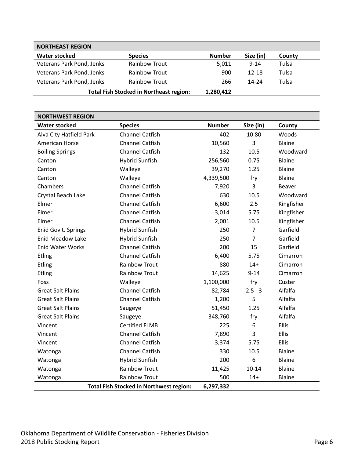| <b>NORTHEAST REGION</b>                        |                      |               |           |        |  |
|------------------------------------------------|----------------------|---------------|-----------|--------|--|
| <b>Water stocked</b>                           | <b>Species</b>       | <b>Number</b> | Size (in) | County |  |
| Veterans Park Pond, Jenks                      | <b>Rainbow Trout</b> | 5,011         | $9 - 14$  | Tulsa  |  |
| Veterans Park Pond, Jenks                      | <b>Rainbow Trout</b> | 900           | $12 - 18$ | Tulsa  |  |
| Veterans Park Pond, Jenks                      | <b>Rainbow Trout</b> | 266           | $14 - 24$ | Tulsa  |  |
| <b>Total Fish Stocked in Northeast region:</b> | 1,280,412            |               |           |        |  |

<span id="page-5-0"></span>

| <b>NORTHWEST REGION</b>  |                                                |               |                |               |  |
|--------------------------|------------------------------------------------|---------------|----------------|---------------|--|
| <b>Water stocked</b>     | <b>Species</b>                                 | <b>Number</b> | Size (in)      | County        |  |
| Alva City Hatfield Park  | <b>Channel Catfish</b>                         | 402           | 10.80          | Woods         |  |
| <b>American Horse</b>    | <b>Channel Catfish</b>                         | 10,560        | 3              | Blaine        |  |
| <b>Boiling Springs</b>   | <b>Channel Catfish</b>                         | 132           | 10.5           | Woodward      |  |
| Canton                   | <b>Hybrid Sunfish</b>                          | 256,560       | 0.75           | <b>Blaine</b> |  |
| Canton                   | Walleye                                        | 39,270        | 1.25           | <b>Blaine</b> |  |
| Canton                   | Walleye                                        | 4,339,500     | fry            | Blaine        |  |
| Chambers                 | <b>Channel Catfish</b>                         | 7,920         | 3              | Beaver        |  |
| Crystal Beach Lake       | <b>Channel Catfish</b>                         | 630           | 10.5           | Woodward      |  |
| Elmer                    | <b>Channel Catfish</b>                         | 6,600         | 2.5            | Kingfisher    |  |
| Elmer                    | <b>Channel Catfish</b>                         | 3,014         | 5.75           | Kingfisher    |  |
| Elmer                    | <b>Channel Catfish</b>                         | 2,001         | 10.5           | Kingfisher    |  |
| Enid Gov't. Springs      | <b>Hybrid Sunfish</b>                          | 250           | $\overline{7}$ | Garfield      |  |
| <b>Enid Meadow Lake</b>  | <b>Hybrid Sunfish</b>                          | 250           | $\overline{7}$ | Garfield      |  |
| <b>Enid Water Works</b>  | <b>Channel Catfish</b>                         | 200           | 15             | Garfield      |  |
| Etling                   | <b>Channel Catfish</b>                         | 6,400         | 5.75           | Cimarron      |  |
| Etling                   | <b>Rainbow Trout</b>                           | 880           | $14+$          | Cimarron      |  |
| Etling                   | <b>Rainbow Trout</b>                           | 14,625        | $9 - 14$       | Cimarron      |  |
| Foss                     | Walleye                                        | 1,100,000     | fry            | Custer        |  |
| <b>Great Salt Plains</b> | <b>Channel Catfish</b>                         | 82,784        | $2.5 - 3$      | Alfalfa       |  |
| <b>Great Salt Plains</b> | <b>Channel Catfish</b>                         | 1,200         | 5              | Alfalfa       |  |
| <b>Great Salt Plains</b> | Saugeye                                        | 51,450        | 1.25           | Alfalfa       |  |
| <b>Great Salt Plains</b> | Saugeye                                        | 348,760       | fry            | Alfalfa       |  |
| Vincent                  | <b>Certified FLMB</b>                          | 225           | 6              | <b>Ellis</b>  |  |
| Vincent                  | <b>Channel Catfish</b>                         | 7,890         | 3              | Ellis         |  |
| Vincent                  | <b>Channel Catfish</b>                         | 3,374         | 5.75           | <b>Ellis</b>  |  |
| Watonga                  | <b>Channel Catfish</b>                         | 330           | 10.5           | Blaine        |  |
| Watonga                  | <b>Hybrid Sunfish</b>                          | 200           | 6              | <b>Blaine</b> |  |
| Watonga                  | <b>Rainbow Trout</b>                           | 11,425        | $10 - 14$      | Blaine        |  |
| Watonga                  | <b>Rainbow Trout</b>                           | 500           | $14+$          | <b>Blaine</b> |  |
|                          | <b>Total Fish Stocked in Northwest region:</b> | 6,297,332     |                |               |  |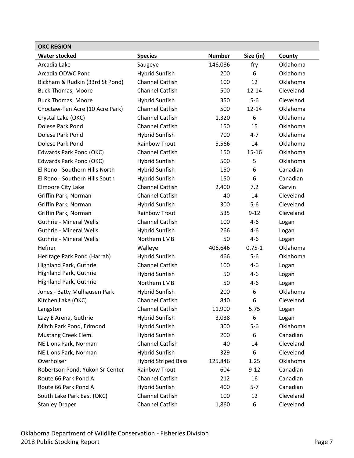<span id="page-6-0"></span>

| <b>OKC REGION</b>               |                            |               |            |           |
|---------------------------------|----------------------------|---------------|------------|-----------|
| <b>Water stocked</b>            | <b>Species</b>             | <b>Number</b> | Size (in)  | County    |
| Arcadia Lake                    | Saugeye                    | 146,086       | fry        | Oklahoma  |
| Arcadia ODWC Pond               | <b>Hybrid Sunfish</b>      | 200           | 6          | Oklahoma  |
| Bickham & Rudkin (33rd St Pond) | <b>Channel Catfish</b>     | 100           | 12         | Oklahoma  |
| <b>Buck Thomas, Moore</b>       | <b>Channel Catfish</b>     | 500           | $12 - 14$  | Cleveland |
| <b>Buck Thomas, Moore</b>       | <b>Hybrid Sunfish</b>      | 350           | $5-6$      | Cleveland |
| Choctaw-Ten Acre (10 Acre Park) | Channel Catfish            | 500           | $12 - 14$  | Oklahoma  |
| Crystal Lake (OKC)              | <b>Channel Catfish</b>     | 1,320         | 6          | Oklahoma  |
| Dolese Park Pond                | <b>Channel Catfish</b>     | 150           | 15         | Oklahoma  |
| Dolese Park Pond                | <b>Hybrid Sunfish</b>      | 700           | $4 - 7$    | Oklahoma  |
| Dolese Park Pond                | <b>Rainbow Trout</b>       | 5,566         | 14         | Oklahoma  |
| Edwards Park Pond (OKC)         | <b>Channel Catfish</b>     | 150           | $15 - 16$  | Oklahoma  |
| Edwards Park Pond (OKC)         | <b>Hybrid Sunfish</b>      | 500           | 5          | Oklahoma  |
| El Reno - Southern Hills North  | <b>Hybrid Sunfish</b>      | 150           | 6          | Canadian  |
| El Reno - Southern Hills South  | <b>Hybrid Sunfish</b>      | 150           | 6          | Canadian  |
| Elmoore City Lake               | <b>Channel Catfish</b>     | 2,400         | 7.2        | Garvin    |
| Griffin Park, Norman            | <b>Channel Catfish</b>     | 40            | 14         | Cleveland |
| Griffin Park, Norman            | <b>Hybrid Sunfish</b>      | 300           | $5-6$      | Cleveland |
| Griffin Park, Norman            | <b>Rainbow Trout</b>       | 535           | $9 - 12$   | Cleveland |
| <b>Guthrie - Mineral Wells</b>  | <b>Channel Catfish</b>     | 100           | $4 - 6$    | Logan     |
| <b>Guthrie - Mineral Wells</b>  | <b>Hybrid Sunfish</b>      | 266           | $4-6$      | Logan     |
| <b>Guthrie - Mineral Wells</b>  | Northern LMB               | 50            | $4 - 6$    | Logan     |
| Hefner                          | Walleye                    | 406,646       | $0.75 - 1$ | Oklahoma  |
| Heritage Park Pond (Harrah)     | <b>Hybrid Sunfish</b>      | 466           | $5-6$      | Oklahoma  |
| Highland Park, Guthrie          | <b>Channel Catfish</b>     | 100           | $4-6$      | Logan     |
| Highland Park, Guthrie          | <b>Hybrid Sunfish</b>      | 50            | 4-6        | Logan     |
| Highland Park, Guthrie          | Northern LMB               | 50            | $4 - 6$    | Logan     |
| Jones - Batty Mulhausen Park    | <b>Hybrid Sunfish</b>      | 200           | 6          | Oklahoma  |
| Kitchen Lake (OKC)              | Channel Catfish            | 840           | 6          | Cleveland |
| Langston                        | <b>Channel Catfish</b>     | 11,900        | 5.75       | Logan     |
| Lazy E Arena, Guthrie           | <b>Hybrid Sunfish</b>      | 3,038         | 6          | Logan     |
| Mitch Park Pond, Edmond         | <b>Hybrid Sunfish</b>      | 300           | $5-6$      | Oklahoma  |
| Mustang Creek Elem.             | <b>Hybrid Sunfish</b>      | 200           | 6          | Canadian  |
| NE Lions Park, Norman           | <b>Channel Catfish</b>     | 40            | 14         | Cleveland |
| NE Lions Park, Norman           | <b>Hybrid Sunfish</b>      | 329           | 6          | Cleveland |
| Overholser                      | <b>Hybrid Striped Bass</b> | 125,846       | 1.25       | Oklahoma  |
| Robertson Pond, Yukon Sr Center | <b>Rainbow Trout</b>       | 604           | $9 - 12$   | Canadian  |
| Route 66 Park Pond A            | <b>Channel Catfish</b>     | 212           | 16         | Canadian  |
| Route 66 Park Pond A            | <b>Hybrid Sunfish</b>      | 400           | $5 - 7$    | Canadian  |
| South Lake Park East (OKC)      | <b>Channel Catfish</b>     | 100           | 12         | Cleveland |
| <b>Stanley Draper</b>           | Channel Catfish            | 1,860         | 6          | Cleveland |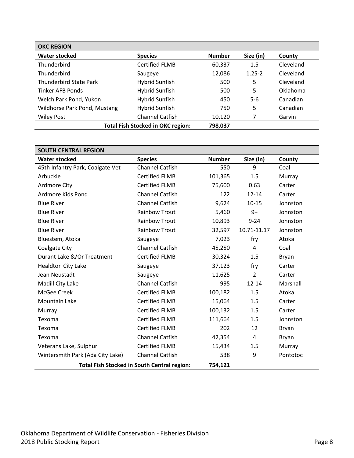| <b>OKC REGION</b>             |                                          |               |            |           |  |
|-------------------------------|------------------------------------------|---------------|------------|-----------|--|
| <b>Water stocked</b>          | <b>Species</b>                           | <b>Number</b> | Size (in)  | County    |  |
| Thunderbird                   | <b>Certified FLMB</b>                    | 60,337        | 1.5        | Cleveland |  |
| Thunderbird                   | Saugeye                                  | 12,086        | $1.25 - 2$ | Cleveland |  |
| <b>Thunderbird State Park</b> | Hybrid Sunfish                           | 500           | 5          | Cleveland |  |
| Tinker AFB Ponds              | Hybrid Sunfish                           | 500           | 5          | Oklahoma  |  |
| Welch Park Pond, Yukon        | <b>Hybrid Sunfish</b>                    | 450           | $5-6$      | Canadian  |  |
| Wildhorse Park Pond, Mustang  | Hybrid Sunfish                           | 750           | 5          | Canadian  |  |
| <b>Wiley Post</b>             | <b>Channel Catfish</b>                   | 10,120        | 7          | Garvin    |  |
|                               | <b>Total Fish Stocked in OKC region:</b> | 798,037       |            |           |  |

<span id="page-7-0"></span>

| <b>SOUTH CENTRAL REGION</b>      |                                                    |               |                |          |
|----------------------------------|----------------------------------------------------|---------------|----------------|----------|
| <b>Water stocked</b>             | <b>Species</b>                                     | <b>Number</b> | Size (in)      | County   |
| 45th Infantry Park, Coalgate Vet | <b>Channel Catfish</b>                             | 550           | 9              | Coal     |
| Arbuckle                         | <b>Certified FLMB</b>                              | 101,365       | 1.5            | Murray   |
| <b>Ardmore City</b>              | <b>Certified FLMB</b>                              | 75,600        | 0.63           | Carter   |
| Ardmore Kids Pond                | <b>Channel Catfish</b>                             | 122           | $12 - 14$      | Carter   |
| <b>Blue River</b>                | <b>Channel Catfish</b>                             | 9,624         | $10 - 15$      | Johnston |
| <b>Blue River</b>                | <b>Rainbow Trout</b>                               | 5,460         | $9+$           | Johnston |
| <b>Blue River</b>                | <b>Rainbow Trout</b>                               | 10,893        | $9 - 24$       | Johnston |
| <b>Blue River</b>                | <b>Rainbow Trout</b>                               | 32,597        | 10.71-11.17    | Johnston |
| Bluestem, Atoka                  | Saugeye                                            | 7,023         | fry            | Atoka    |
| <b>Coalgate City</b>             | <b>Channel Catfish</b>                             | 45,250        | 4              | Coal     |
| Durant Lake &/Or Treatment       | <b>Certified FLMB</b>                              | 30,324        | 1.5            | Bryan    |
| <b>Healdton City Lake</b>        | Saugeye                                            | 37,123        | fry            | Carter   |
| Jean Neustadt                    | Saugeye                                            | 11,625        | $\overline{2}$ | Carter   |
| Madill City Lake                 | <b>Channel Catfish</b>                             | 995           | $12 - 14$      | Marshall |
| McGee Creek                      | <b>Certified FLMB</b>                              | 100,182       | 1.5            | Atoka    |
| Mountain Lake                    | <b>Certified FLMB</b>                              | 15,064        | 1.5            | Carter   |
| Murray                           | <b>Certified FLMB</b>                              | 100,132       | 1.5            | Carter   |
| Texoma                           | <b>Certified FLMB</b>                              | 111,664       | 1.5            | Johnston |
| Texoma                           | <b>Certified FLMB</b>                              | 202           | 12             | Bryan    |
| Texoma                           | <b>Channel Catfish</b>                             | 42,354        | $\overline{4}$ | Bryan    |
| Veterans Lake, Sulphur           | <b>Certified FLMB</b>                              | 15,434        | 1.5            | Murray   |
| Wintersmith Park (Ada City Lake) | <b>Channel Catfish</b>                             | 538           | 9              | Pontotoc |
|                                  | <b>Total Fish Stocked in South Central region:</b> | 754,121       |                |          |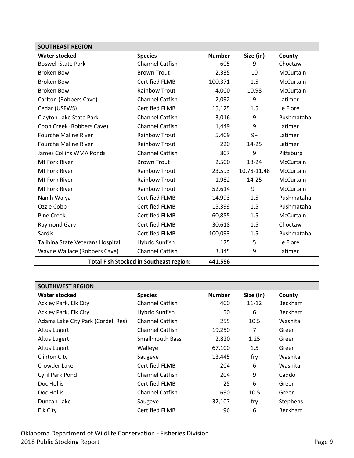<span id="page-8-0"></span>

| <b>SOUTHEAST REGION</b>                        |                        |               |             |            |
|------------------------------------------------|------------------------|---------------|-------------|------------|
| <b>Water stocked</b>                           | <b>Species</b>         | <b>Number</b> | Size (in)   | County     |
| <b>Boswell State Park</b>                      | <b>Channel Catfish</b> | 605           | 9           | Choctaw    |
| <b>Broken Bow</b>                              | <b>Brown Trout</b>     | 2,335         | 10          | McCurtain  |
| <b>Broken Bow</b>                              | <b>Certified FLMB</b>  | 100,371       | 1.5         | McCurtain  |
| <b>Broken Bow</b>                              | <b>Rainbow Trout</b>   | 4,000         | 10.98       | McCurtain  |
| Carlton (Robbers Cave)                         | <b>Channel Catfish</b> | 2,092         | 9           | Latimer    |
| Cedar (USFWS)                                  | <b>Certified FLMB</b>  | 15,125        | 1.5         | Le Flore   |
| Clayton Lake State Park                        | <b>Channel Catfish</b> | 3,016         | 9           | Pushmataha |
| Coon Creek (Robbers Cave)                      | <b>Channel Catfish</b> | 1,449         | 9           | Latimer    |
| <b>Fourche Maline River</b>                    | <b>Rainbow Trout</b>   | 5,409         | $9+$        | Latimer    |
| <b>Fourche Maline River</b>                    | <b>Rainbow Trout</b>   | 220           | 14-25       | Latimer    |
| James Collins WMA Ponds                        | <b>Channel Catfish</b> | 807           | 9           | Pittsburg  |
| Mt Fork River                                  | <b>Brown Trout</b>     | 2,500         | 18-24       | McCurtain  |
| Mt Fork River                                  | <b>Rainbow Trout</b>   | 23,593        | 10.78-11.48 | McCurtain  |
| Mt Fork River                                  | Rainbow Trout          | 1,982         | 14-25       | McCurtain  |
| Mt Fork River                                  | <b>Rainbow Trout</b>   | 52,614        | 9+          | McCurtain  |
| Nanih Waiya                                    | <b>Certified FLMB</b>  | 14,993        | 1.5         | Pushmataha |
| Ozzie Cobb                                     | <b>Certified FLMB</b>  | 15,399        | 1.5         | Pushmataha |
| Pine Creek                                     | <b>Certified FLMB</b>  | 60,855        | 1.5         | McCurtain  |
| <b>Raymond Gary</b>                            | <b>Certified FLMB</b>  | 30,618        | 1.5         | Choctaw    |
| Sardis                                         | <b>Certified FLMB</b>  | 100,093       | 1.5         | Pushmataha |
| Talihina State Veterans Hospital               | <b>Hybrid Sunfish</b>  | 175           | 5           | Le Flore   |
| Wayne Wallace (Robbers Cave)                   | <b>Channel Catfish</b> | 3,345         | 9           | Latimer    |
| <b>Total Fish Stocked in Southeast region:</b> |                        | 441,596       |             |            |

<span id="page-8-1"></span>

| <b>SOUTHWEST REGION</b>            |                        |               |           |                 |
|------------------------------------|------------------------|---------------|-----------|-----------------|
| <b>Water stocked</b>               | <b>Species</b>         | <b>Number</b> | Size (in) | County          |
| Ackley Park, Elk City              | <b>Channel Catfish</b> | 400           | $11 - 12$ | <b>Beckham</b>  |
| Ackley Park, Elk City              | Hybrid Sunfish         | 50            | 6         | <b>Beckham</b>  |
| Adams Lake City Park (Cordell Res) | <b>Channel Catfish</b> | 255           | 10.5      | Washita         |
| Altus Lugert                       | <b>Channel Catfish</b> | 19,250        | 7         | Greer           |
| Altus Lugert                       | <b>Smallmouth Bass</b> | 2,820         | 1.25      | Greer           |
| Altus Lugert                       | Walleye                | 67,100        | 1.5       | Greer           |
| <b>Clinton City</b>                | Saugeye                | 13,445        | fry       | Washita         |
| Crowder Lake                       | <b>Certified FLMB</b>  | 204           | 6         | Washita         |
| Cyril Park Pond                    | <b>Channel Catfish</b> | 204           | 9         | Caddo           |
| Doc Hollis                         | Certified FLMB         | 25            | 6         | Greer           |
| Doc Hollis                         | <b>Channel Catfish</b> | 690           | 10.5      | Greer           |
| Duncan Lake                        | Saugeye                | 32,107        | fry       | <b>Stephens</b> |
| <b>Elk City</b>                    | <b>Certified FLMB</b>  | 96            | 6         | Beckham         |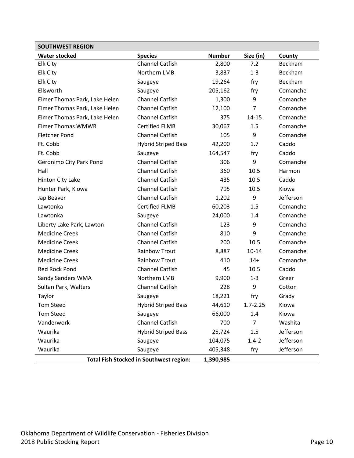| <b>SOUTHWEST REGION</b>                                     |                            |               |                |           |
|-------------------------------------------------------------|----------------------------|---------------|----------------|-----------|
| <b>Water stocked</b>                                        | <b>Species</b>             | <b>Number</b> | Size (in)      | County    |
| <b>Elk City</b>                                             | <b>Channel Catfish</b>     | 2,800         | 7.2            | Beckham   |
| <b>Elk City</b>                                             | Northern LMB               | 3,837         | $1 - 3$        | Beckham   |
| <b>Elk City</b>                                             | Saugeye                    | 19,264        | fry            | Beckham   |
| Ellsworth                                                   | Saugeye                    | 205,162       | fry            | Comanche  |
| Elmer Thomas Park, Lake Helen                               | <b>Channel Catfish</b>     | 1,300         | 9              | Comanche  |
| Elmer Thomas Park, Lake Helen                               | <b>Channel Catfish</b>     | 12,100        | $\overline{7}$ | Comanche  |
| Elmer Thomas Park, Lake Helen                               | <b>Channel Catfish</b>     | 375           | 14-15          | Comanche  |
| <b>Elmer Thomas WMWR</b>                                    | <b>Certified FLMB</b>      | 30,067        | 1.5            | Comanche  |
| <b>Fletcher Pond</b>                                        | <b>Channel Catfish</b>     | 105           | 9              | Comanche  |
| Ft. Cobb                                                    | <b>Hybrid Striped Bass</b> | 42,200        | 1.7            | Caddo     |
| Ft. Cobb                                                    | Saugeye                    | 164,547       | fry            | Caddo     |
| Geronimo City Park Pond                                     | <b>Channel Catfish</b>     | 306           | 9              | Comanche  |
| Hall                                                        | <b>Channel Catfish</b>     | 360           | 10.5           | Harmon    |
| Hinton City Lake                                            | <b>Channel Catfish</b>     | 435           | 10.5           | Caddo     |
| Hunter Park, Kiowa                                          | <b>Channel Catfish</b>     | 795           | 10.5           | Kiowa     |
| Jap Beaver                                                  | <b>Channel Catfish</b>     | 1,202         | 9              | Jefferson |
| Lawtonka                                                    | <b>Certified FLMB</b>      | 60,203        | 1.5            | Comanche  |
| Lawtonka                                                    | Saugeye                    | 24,000        | 1.4            | Comanche  |
| Liberty Lake Park, Lawton                                   | <b>Channel Catfish</b>     | 123           | 9              | Comanche  |
| <b>Medicine Creek</b>                                       | <b>Channel Catfish</b>     | 810           | 9              | Comanche  |
| <b>Medicine Creek</b>                                       | <b>Channel Catfish</b>     | 200           | 10.5           | Comanche  |
| <b>Medicine Creek</b>                                       | <b>Rainbow Trout</b>       | 8,887         | $10 - 14$      | Comanche  |
| <b>Medicine Creek</b>                                       | <b>Rainbow Trout</b>       | 410           | $14+$          | Comanche  |
| <b>Red Rock Pond</b>                                        | <b>Channel Catfish</b>     | 45            | 10.5           | Caddo     |
| Sandy Sanders WMA                                           | Northern LMB               | 9,900         | $1 - 3$        | Greer     |
| Sultan Park, Walters                                        | <b>Channel Catfish</b>     | 228           | 9              | Cotton    |
| Taylor                                                      | Saugeye                    | 18,221        | fry            | Grady     |
| <b>Tom Steed</b>                                            | <b>Hybrid Striped Bass</b> | 44,610        | $1.7 - 2.25$   | Kiowa     |
| <b>Tom Steed</b>                                            | Saugeye                    | 66,000        | 1.4            | Kiowa     |
| Vanderwork                                                  | Channel Catfish            | 700           | $\overline{7}$ | Washita   |
| Waurika                                                     | <b>Hybrid Striped Bass</b> | 25,724        | 1.5            | Jefferson |
| Waurika                                                     | Saugeye                    | 104,075       | $1.4 - 2$      | Jefferson |
| Waurika                                                     | Saugeye                    | 405,348       | fry            | Jefferson |
| <b>Total Fish Stocked in Southwest region:</b><br>1,390,985 |                            |               |                |           |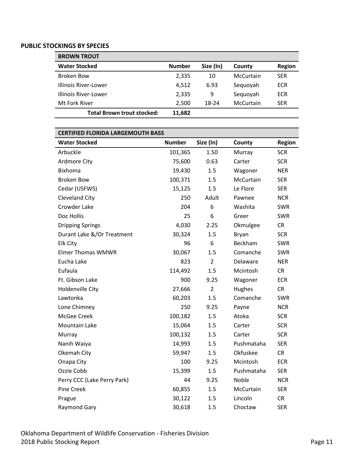#### <span id="page-10-0"></span>**PUBLIC STOCKINGS BY SPECIES**

<span id="page-10-1"></span>

| <b>BROWN TROUT</b>                |               |           |           |               |
|-----------------------------------|---------------|-----------|-----------|---------------|
| <b>Water Stocked</b>              | <b>Number</b> | Size (In) | County    | <b>Region</b> |
| Broken Bow                        | 2,335         | 10        | McCurtain | <b>SER</b>    |
| Illinois River-Lower              | 4.512         | 6.93      | Sequoyah  | <b>ECR</b>    |
| Illinois River-Lower              | 2,335         | 9         | Sequoyah  | <b>ECR</b>    |
| Mt Fork River                     | 2,500         | 18-24     | McCurtain | <b>SER</b>    |
| <b>Total Brown trout stocked:</b> | 11,682        |           |           |               |

#### <span id="page-10-2"></span>**CERTIFIED FLORIDA LARGEMOUTH BASS**

| <b>Water Stocked</b>        | <b>Number</b> | Size (In)      | County        | <b>Region</b> |
|-----------------------------|---------------|----------------|---------------|---------------|
| Arbuckle                    | 101,365       | 1.50           | Murray        | <b>SCR</b>    |
| Ardmore City                | 75,600        | 0.63           | Carter        | <b>SCR</b>    |
| <b>Bixhoma</b>              | 19,430        | 1.5            | Wagoner       | <b>NER</b>    |
| <b>Broken Bow</b>           | 100,371       | 1.5            | McCurtain     | <b>SER</b>    |
| Cedar (USFWS)               | 15,125        | 1.5            | Le Flore      | <b>SER</b>    |
| Cleveland City              | 250           | Adult          | Pawnee        | <b>NCR</b>    |
| Crowder Lake                | 204           | 6              | Washita       | SWR           |
| Doc Hollis                  | 25            | 6              | Greer         | SWR           |
| <b>Dripping Springs</b>     | 4,030         | 2.25           | Okmulgee      | <b>CR</b>     |
| Durant Lake &/Or Treatment  | 30,324        | 1.5            | Bryan         | <b>SCR</b>    |
| Elk City                    | 96            | 6              | Beckham       | SWR           |
| <b>Elmer Thomas WMWR</b>    | 30,067        | 1.5            | Comanche      | SWR           |
| Eucha Lake                  | 823           | $\overline{2}$ | Delaware      | <b>NER</b>    |
| Eufaula                     | 114,492       | 1.5            | Mcintosh      | CR            |
| Ft. Gibson Lake             | 900           | 9.25           | Wagoner       | <b>ECR</b>    |
| <b>Holdenville City</b>     | 27,666        | $\overline{2}$ | <b>Hughes</b> | <b>CR</b>     |
| Lawtonka                    | 60,203        | 1.5            | Comanche      | SWR           |
| Lone Chimney                | 250           | 9.25           | Payne         | <b>NCR</b>    |
| McGee Creek                 | 100,182       | 1.5            | Atoka         | <b>SCR</b>    |
| Mountain Lake               | 15,064        | 1.5            | Carter        | <b>SCR</b>    |
| Murray                      | 100,132       | 1.5            | Carter        | <b>SCR</b>    |
| Nanih Waiya                 | 14,993        | 1.5            | Pushmataha    | <b>SER</b>    |
| Okemah City                 | 59,947        | 1.5            | Okfuskee      | <b>CR</b>     |
| Onapa City                  | 100           | 9.25           | Mcintosh      | <b>ECR</b>    |
| Ozzie Cobb                  | 15,399        | 1.5            | Pushmataha    | <b>SER</b>    |
| Perry CCC (Lake Perry Park) | 44            | 9.25           | Noble         | <b>NCR</b>    |
| <b>Pine Creek</b>           | 60,855        | 1.5            | McCurtain     | <b>SER</b>    |
| Prague                      | 30,122        | 1.5            | Lincoln       | <b>CR</b>     |
| <b>Raymond Gary</b>         | 30,618        | 1.5            | Choctaw       | <b>SER</b>    |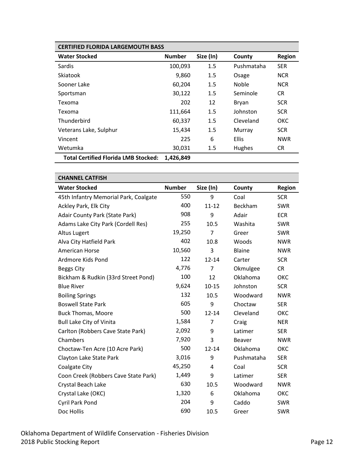| <b>CERTIFIED FLORIDA LARGEMOUTH BASS</b>    |               |           |              |               |
|---------------------------------------------|---------------|-----------|--------------|---------------|
| <b>Water Stocked</b>                        | <b>Number</b> | Size (In) | County       | <b>Region</b> |
| Sardis                                      | 100,093       | 1.5       | Pushmataha   | <b>SER</b>    |
| Skiatook                                    | 9,860         | 1.5       | Osage        | <b>NCR</b>    |
| Sooner Lake                                 | 60,204        | 1.5       | <b>Noble</b> | <b>NCR</b>    |
| Sportsman                                   | 30,122        | 1.5       | Seminole     | <b>CR</b>     |
| Texoma                                      | 202           | 12        | Bryan        | <b>SCR</b>    |
| Texoma                                      | 111,664       | 1.5       | Johnston     | <b>SCR</b>    |
| Thunderbird                                 | 60,337        | 1.5       | Cleveland    | <b>OKC</b>    |
| Veterans Lake, Sulphur                      | 15,434        | 1.5       | Murray       | <b>SCR</b>    |
| Vincent                                     | 225           | 6         | <b>Ellis</b> | <b>NWR</b>    |
| Wetumka                                     | 30,031        | 1.5       | Hughes       | CR.           |
| <b>Total Certified Florida LMB Stocked:</b> | 1,426,849     |           |              |               |

<span id="page-11-0"></span>

| <b>CHANNEL CATFISH</b>                |               |                |               |               |
|---------------------------------------|---------------|----------------|---------------|---------------|
| <b>Water Stocked</b>                  | <b>Number</b> | Size (In)      | County        | <b>Region</b> |
| 45th Infantry Memorial Park, Coalgate | 550           | 9              | Coal          | <b>SCR</b>    |
| Ackley Park, Elk City                 | 400           | $11 - 12$      | Beckham       | <b>SWR</b>    |
| Adair County Park (State Park)        | 908           | 9              | Adair         | <b>ECR</b>    |
| Adams Lake City Park (Cordell Res)    | 255           | 10.5           | Washita       | <b>SWR</b>    |
| <b>Altus Lugert</b>                   | 19,250        | $\overline{7}$ | Greer         | <b>SWR</b>    |
| Alva City Hatfield Park               | 402           | 10.8           | Woods         | <b>NWR</b>    |
| American Horse                        | 10,560        | 3              | Blaine        | <b>NWR</b>    |
| Ardmore Kids Pond                     | 122           | $12 - 14$      | Carter        | <b>SCR</b>    |
| <b>Beggs City</b>                     | 4,776         | 7              | Okmulgee      | <b>CR</b>     |
| Bickham & Rudkin (33rd Street Pond)   | 100           | 12             | Oklahoma      | OKC           |
| <b>Blue River</b>                     | 9,624         | $10 - 15$      | Johnston      | <b>SCR</b>    |
| <b>Boiling Springs</b>                | 132           | 10.5           | Woodward      | <b>NWR</b>    |
| <b>Boswell State Park</b>             | 605           | 9              | Choctaw       | <b>SER</b>    |
| <b>Buck Thomas, Moore</b>             | 500           | $12 - 14$      | Cleveland     | OKC           |
| <b>Bull Lake City of Vinita</b>       | 1,584         | 7              | Craig         | <b>NER</b>    |
| Carlton (Robbers Cave State Park)     | 2,092         | 9              | Latimer       | <b>SER</b>    |
| Chambers                              | 7,920         | 3              | <b>Beaver</b> | <b>NWR</b>    |
| Choctaw-Ten Acre (10 Acre Park)       | 500           | $12 - 14$      | Oklahoma      | ОКС           |
| Clayton Lake State Park               | 3,016         | 9              | Pushmataha    | <b>SER</b>    |
| Coalgate City                         | 45,250        | 4              | Coal          | <b>SCR</b>    |
| Coon Creek (Robbers Cave State Park)  | 1,449         | 9              | Latimer       | <b>SER</b>    |
| Crystal Beach Lake                    | 630           | 10.5           | Woodward      | <b>NWR</b>    |
| Crystal Lake (OKC)                    | 1,320         | 6              | Oklahoma      | ОКС           |
| Cyril Park Pond                       | 204           | 9              | Caddo         | <b>SWR</b>    |
| Doc Hollis                            | 690           | 10.5           | Greer         | <b>SWR</b>    |

### Oklahoma Department of Wildlife Conservation - Fisheries Division 2018 Public Stocking Report **Page 12** and 2018 Public Stocking Report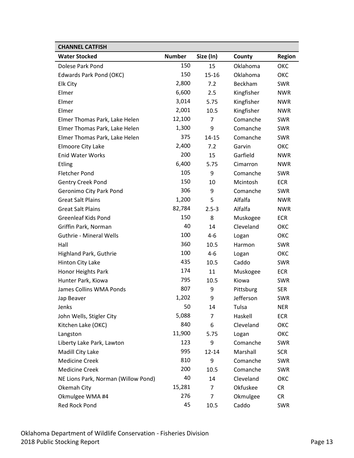| <b>CHANNEL CATFISH</b>              |               |           |            |               |
|-------------------------------------|---------------|-----------|------------|---------------|
| <b>Water Stocked</b>                | <b>Number</b> | Size (In) | County     | <b>Region</b> |
| Dolese Park Pond                    | 150           | 15        | Oklahoma   | ОКС           |
| Edwards Park Pond (OKC)             | 150           | $15 - 16$ | Oklahoma   | ОКС           |
| Elk City                            | 2,800         | 7.2       | Beckham    | <b>SWR</b>    |
| Elmer                               | 6,600         | 2.5       | Kingfisher | <b>NWR</b>    |
| Elmer                               | 3,014         | 5.75      | Kingfisher | <b>NWR</b>    |
| Elmer                               | 2,001         | 10.5      | Kingfisher | <b>NWR</b>    |
| Elmer Thomas Park, Lake Helen       | 12,100        | 7         | Comanche   | <b>SWR</b>    |
| Elmer Thomas Park, Lake Helen       | 1,300         | 9         | Comanche   | <b>SWR</b>    |
| Elmer Thomas Park, Lake Helen       | 375           | $14 - 15$ | Comanche   | <b>SWR</b>    |
| Elmoore City Lake                   | 2,400         | 7.2       | Garvin     | ОКС           |
| <b>Enid Water Works</b>             | 200           | 15        | Garfield   | <b>NWR</b>    |
| <b>Etling</b>                       | 6,400         | 5.75      | Cimarron   | <b>NWR</b>    |
| <b>Fletcher Pond</b>                | 105           | 9         | Comanche   | <b>SWR</b>    |
| <b>Gentry Creek Pond</b>            | 150           | 10        | Mcintosh   | <b>ECR</b>    |
| Geronimo City Park Pond             | 306           | 9         | Comanche   | <b>SWR</b>    |
| <b>Great Salt Plains</b>            | 1,200         | 5         | Alfalfa    | <b>NWR</b>    |
| <b>Great Salt Plains</b>            | 82,784        | $2.5 - 3$ | Alfalfa    | <b>NWR</b>    |
| <b>Greenleaf Kids Pond</b>          | 150           | 8         | Muskogee   | <b>ECR</b>    |
| Griffin Park, Norman                | 40            | 14        | Cleveland  | ОКС           |
| <b>Guthrie - Mineral Wells</b>      | 100           | $4-6$     | Logan      | ОКС           |
| Hall                                | 360           | 10.5      | Harmon     | <b>SWR</b>    |
| Highland Park, Guthrie              | 100           | 4-6       | Logan      | ОКС           |
| Hinton City Lake                    | 435           | 10.5      | Caddo      | <b>SWR</b>    |
| Honor Heights Park                  | 174           | 11        | Muskogee   | <b>ECR</b>    |
| Hunter Park, Kiowa                  | 795           | 10.5      | Kiowa      | <b>SWR</b>    |
| James Collins WMA Ponds             | 807           | 9         | Pittsburg  | <b>SER</b>    |
| Jap Beaver                          | 1,202         | 9         | Jefferson  | <b>SWR</b>    |
| Jenks                               | 50            | 14        | Tulsa      | <b>NER</b>    |
| John Wells, Stigler City            | 5,088         | 7         | Haskell    | ECR           |
| Kitchen Lake (OKC)                  | 840           | 6         | Cleveland  | ОКС           |
| Langston                            | 11,900        | 5.75      | Logan      | ОКС           |
| Liberty Lake Park, Lawton           | 123           | 9         | Comanche   | SWR           |
| Madill City Lake                    | 995           | $12 - 14$ | Marshall   | <b>SCR</b>    |
| <b>Medicine Creek</b>               | 810           | 9         | Comanche   | SWR           |
| <b>Medicine Creek</b>               | 200           | 10.5      | Comanche   | SWR           |
| NE Lions Park, Norman (Willow Pond) | 40            | 14        | Cleveland  | ОКС           |
| Okemah City                         | 15,281        | 7         | Okfuskee   | CR            |
| Okmulgee WMA #4                     | 276           | 7         | Okmulgee   | <b>CR</b>     |
| Red Rock Pond                       | 45            | 10.5      | Caddo      | SWR           |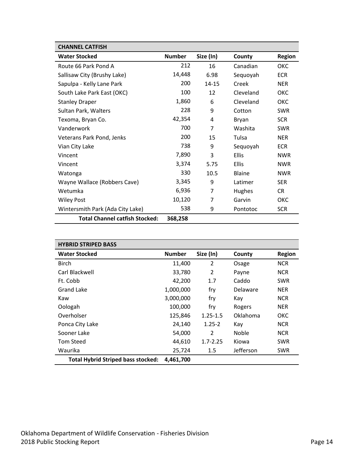| <b>CHANNEL CATFISH</b>                |               |           |               |               |
|---------------------------------------|---------------|-----------|---------------|---------------|
| <b>Water Stocked</b>                  | <b>Number</b> | Size (In) | County        | <b>Region</b> |
| Route 66 Park Pond A                  | 212           | 16        | Canadian      | OKC           |
| Sallisaw City (Brushy Lake)           | 14,448        | 6.98      | Sequoyah      | <b>ECR</b>    |
| Sapulpa - Kelly Lane Park             | 200           | $14 - 15$ | Creek         | <b>NER</b>    |
| South Lake Park East (OKC)            | 100           | 12        | Cleveland     | OKC           |
| <b>Stanley Draper</b>                 | 1,860         | 6         | Cleveland     | ОКС           |
| Sultan Park, Walters                  | 228           | 9         | Cotton        | <b>SWR</b>    |
| Texoma, Bryan Co.                     | 42,354        | 4         | Bryan         | <b>SCR</b>    |
| Vanderwork                            | 700           | 7         | Washita       | <b>SWR</b>    |
| Veterans Park Pond, Jenks             | 200           | 15        | Tulsa         | <b>NER</b>    |
| Vian City Lake                        | 738           | 9         | Sequoyah      | <b>ECR</b>    |
| Vincent                               | 7,890         | 3         | <b>Ellis</b>  | <b>NWR</b>    |
| Vincent                               | 3,374         | 5.75      | <b>Ellis</b>  | <b>NWR</b>    |
| Watonga                               | 330           | 10.5      | <b>Blaine</b> | <b>NWR</b>    |
| Wayne Wallace (Robbers Cave)          | 3,345         | 9         | Latimer       | <b>SER</b>    |
| Wetumka                               | 6,936         | 7         | Hughes        | <b>CR</b>     |
| <b>Wiley Post</b>                     | 10,120        | 7         | Garvin        | OKC           |
| Wintersmith Park (Ada City Lake)      | 538           | 9         | Pontotoc      | <b>SCR</b>    |
| <b>Total Channel catfish Stocked:</b> | 368,258       |           |               |               |

<span id="page-13-0"></span>

| <b>HYBRID STRIPED BASS</b>                |               |              |           |               |
|-------------------------------------------|---------------|--------------|-----------|---------------|
| <b>Water Stocked</b>                      | <b>Number</b> | Size (In)    | County    | <b>Region</b> |
| <b>Birch</b>                              | 11,400        | 2            | Osage     | <b>NCR</b>    |
| Carl Blackwell                            | 33,780        | 2            | Payne     | <b>NCR</b>    |
| Ft. Cobb                                  | 42,200        | 1.7          | Caddo     | <b>SWR</b>    |
| Grand Lake                                | 1,000,000     | fry          | Delaware  | <b>NER</b>    |
| Kaw                                       | 3,000,000     | fry          | Kay       | <b>NCR</b>    |
| Oologah                                   | 100,000       | fry          | Rogers    | <b>NER</b>    |
| Overholser                                | 125,846       | $1.25 - 1.5$ | Oklahoma  | ОКС           |
| Ponca City Lake                           | 24,140        | $1.25 - 2$   | Kay       | <b>NCR</b>    |
| Sooner Lake                               | 54,000        | 2            | Noble     | <b>NCR</b>    |
| Tom Steed                                 | 44,610        | $1.7 - 2.25$ | Kiowa     | <b>SWR</b>    |
| Waurika                                   | 25,724        | 1.5          | Jefferson | <b>SWR</b>    |
| <b>Total Hybrid Striped bass stocked:</b> | 4,461,700     |              |           |               |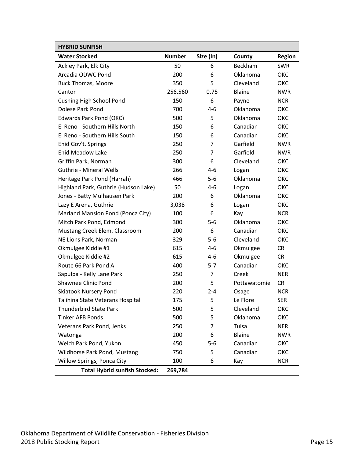<span id="page-14-0"></span>

| <b>HYBRID SUNFISH</b>                |               |           |              |               |
|--------------------------------------|---------------|-----------|--------------|---------------|
| <b>Water Stocked</b>                 | <b>Number</b> | Size (In) | County       | <b>Region</b> |
| Ackley Park, Elk City                | 50            | 6         | Beckham      | <b>SWR</b>    |
| Arcadia ODWC Pond                    | 200           | 6         | Oklahoma     | ОКС           |
| <b>Buck Thomas, Moore</b>            | 350           | 5         | Cleveland    | ОКС           |
| Canton                               | 256,560       | 0.75      | Blaine       | <b>NWR</b>    |
| <b>Cushing High School Pond</b>      | 150           | 6         | Payne        | <b>NCR</b>    |
| Dolese Park Pond                     | 700           | $4-6$     | Oklahoma     | ОКС           |
| <b>Edwards Park Pond (OKC)</b>       | 500           | 5         | Oklahoma     | ОКС           |
| El Reno - Southern Hills North       | 150           | 6         | Canadian     | ОКС           |
| El Reno - Southern Hills South       | 150           | 6         | Canadian     | ОКС           |
| Enid Gov't. Springs                  | 250           | 7         | Garfield     | <b>NWR</b>    |
| <b>Enid Meadow Lake</b>              | 250           | 7         | Garfield     | <b>NWR</b>    |
| Griffin Park, Norman                 | 300           | 6         | Cleveland    | ОКС           |
| <b>Guthrie - Mineral Wells</b>       | 266           | $4-6$     | Logan        | ОКС           |
| Heritage Park Pond (Harrah)          | 466           | $5-6$     | Oklahoma     | ОКС           |
| Highland Park, Guthrie (Hudson Lake) | 50            | $4-6$     | Logan        | ОКС           |
| Jones - Batty Mulhausen Park         | 200           | 6         | Oklahoma     | ОКС           |
| Lazy E Arena, Guthrie                | 3,038         | 6         | Logan        | ОКС           |
| Marland Mansion Pond (Ponca City)    | 100           | 6         | Kay          | <b>NCR</b>    |
| Mitch Park Pond, Edmond              | 300           | $5-6$     | Oklahoma     | ОКС           |
| Mustang Creek Elem. Classroom        | 200           | 6         | Canadian     | ОКС           |
| NE Lions Park, Norman                | 329           | $5-6$     | Cleveland    | ОКС           |
| Okmulgee Kiddie #1                   | 615           | $4-6$     | Okmulgee     | <b>CR</b>     |
| Okmulgee Kiddie #2                   | 615           | $4-6$     | Okmulgee     | <b>CR</b>     |
| Route 66 Park Pond A                 | 400           | $5 - 7$   | Canadian     | ОКС           |
| Sapulpa - Kelly Lane Park            | 250           | 7         | Creek        | <b>NER</b>    |
| <b>Shawnee Clinic Pond</b>           | 200           | 5         | Pottawatomie | <b>CR</b>     |
| <b>Skiatook Nursery Pond</b>         | 220           | $2 - 4$   | Osage        | <b>NCR</b>    |
| Talihina State Veterans Hospital     | 175           | 5         | Le Flore     | <b>SER</b>    |
| <b>Thunderbird State Park</b>        | 500           | 5         | Cleveland    | ОКС           |
| <b>Tinker AFB Ponds</b>              | 500           | 5         | Oklahoma     | ОКС           |
| Veterans Park Pond, Jenks            | 250           | 7         | Tulsa        | <b>NER</b>    |
| Watonga                              | 200           | 6         | Blaine       | <b>NWR</b>    |
| Welch Park Pond, Yukon               | 450           | $5-6$     | Canadian     | ОКС           |
| Wildhorse Park Pond, Mustang         | 750           | 5         | Canadian     | ОКС           |
| Willow Springs, Ponca City           | 100           | 6         | Kay          | <b>NCR</b>    |
| <b>Total Hybrid sunfish Stocked:</b> | 269,784       |           |              |               |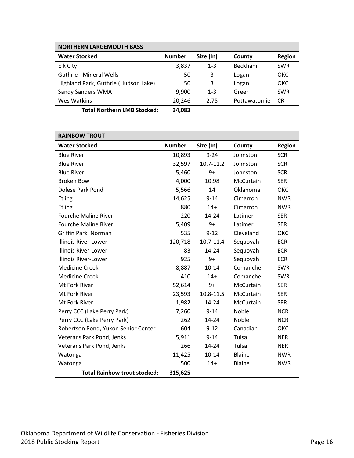<span id="page-15-0"></span>

| <b>NORTHERN LARGEMOUTH BASS</b>      |               |           |                |               |
|--------------------------------------|---------------|-----------|----------------|---------------|
| <b>Water Stocked</b>                 | <b>Number</b> | Size (In) | County         | <b>Region</b> |
| Elk City                             | 3,837         | $1 - 3$   | <b>Beckham</b> | <b>SWR</b>    |
| Guthrie - Mineral Wells              | 50            | 3         | Logan          | <b>OKC</b>    |
| Highland Park, Guthrie (Hudson Lake) | 50            | 3         | Logan          | <b>OKC</b>    |
| Sandy Sanders WMA                    | 9.900         | $1 - 3$   | Greer          | <b>SWR</b>    |
| Wes Watkins                          | 20,246        | 2.75      | Pottawatomie   | CR.           |
| <b>Total Northern LMB Stocked:</b>   | 34,083        |           |                |               |

<span id="page-15-1"></span>

| <b>RAINBOW TROUT</b>                |               |           |              |               |
|-------------------------------------|---------------|-----------|--------------|---------------|
| <b>Water Stocked</b>                | <b>Number</b> | Size (In) | County       | <b>Region</b> |
| <b>Blue River</b>                   | 10,893        | $9 - 24$  | Johnston     | <b>SCR</b>    |
| <b>Blue River</b>                   | 32,597        | 10.7-11.2 | Johnston     | <b>SCR</b>    |
| <b>Blue River</b>                   | 5,460         | $9+$      | Johnston     | <b>SCR</b>    |
| <b>Broken Bow</b>                   | 4,000         | 10.98     | McCurtain    | <b>SER</b>    |
| Dolese Park Pond                    | 5,566         | 14        | Oklahoma     | ОКС           |
| <b>Etling</b>                       | 14,625        | $9 - 14$  | Cimarron     | <b>NWR</b>    |
| Etling                              | 880           | $14+$     | Cimarron     | <b>NWR</b>    |
| <b>Fourche Maline River</b>         | 220           | $14 - 24$ | Latimer      | <b>SER</b>    |
| <b>Fourche Maline River</b>         | 5,409         | $9+$      | Latimer      | <b>SER</b>    |
| Griffin Park, Norman                | 535           | $9 - 12$  | Cleveland    | ОКС           |
| <b>Illinois River-Lower</b>         | 120,718       | 10.7-11.4 | Sequoyah     | <b>ECR</b>    |
| <b>Illinois River-Lower</b>         | 83            | 14-24     | Sequoyah     | <b>ECR</b>    |
| <b>Illinois River-Lower</b>         | 925           | $9+$      | Sequoyah     | <b>ECR</b>    |
| <b>Medicine Creek</b>               | 8,887         | $10 - 14$ | Comanche     | <b>SWR</b>    |
| <b>Medicine Creek</b>               | 410           | $14+$     | Comanche     | <b>SWR</b>    |
| Mt Fork River                       | 52,614        | $9+$      | McCurtain    | <b>SER</b>    |
| Mt Fork River                       | 23,593        | 10.8-11.5 | McCurtain    | <b>SER</b>    |
| Mt Fork River                       | 1,982         | 14-24     | McCurtain    | <b>SER</b>    |
| Perry CCC (Lake Perry Park)         | 7,260         | $9 - 14$  | Noble        | <b>NCR</b>    |
| Perry CCC (Lake Perry Park)         | 262           | $14 - 24$ | <b>Noble</b> | <b>NCR</b>    |
| Robertson Pond, Yukon Senior Center | 604           | $9 - 12$  | Canadian     | ОКС           |
| Veterans Park Pond, Jenks           | 5,911         | $9 - 14$  | Tulsa        | <b>NER</b>    |
| Veterans Park Pond, Jenks           | 266           | 14-24     | Tulsa        | <b>NER</b>    |
| Watonga                             | 11,425        | 10-14     | Blaine       | <b>NWR</b>    |
| Watonga                             | 500           | $14+$     | Blaine       | <b>NWR</b>    |
| <b>Total Rainbow trout stocked:</b> | 315,625       |           |              |               |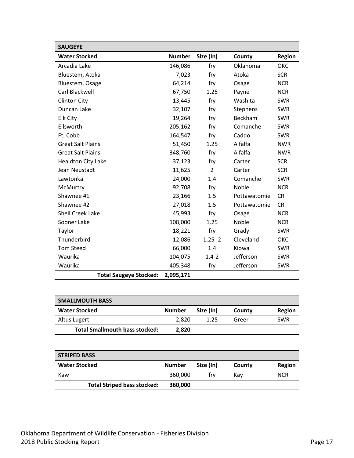<span id="page-16-0"></span>

| <b>SAUGEYE</b>                |               |                |              |               |
|-------------------------------|---------------|----------------|--------------|---------------|
| <b>Water Stocked</b>          | <b>Number</b> | Size (In)      | County       | <b>Region</b> |
| Arcadia Lake                  | 146,086       | fry            | Oklahoma     | ОКС           |
| Bluestem, Atoka               | 7,023         | fry            | Atoka        | <b>SCR</b>    |
| Bluestem, Osage               | 64,214        | fry            | Osage        | <b>NCR</b>    |
| Carl Blackwell                | 67,750        | 1.25           | Payne        | <b>NCR</b>    |
| <b>Clinton City</b>           | 13,445        | fry            | Washita      | <b>SWR</b>    |
| Duncan Lake                   | 32,107        | fry            | Stephens     | <b>SWR</b>    |
| <b>Elk City</b>               | 19,264        | fry            | Beckham      | <b>SWR</b>    |
| Ellsworth                     | 205,162       | fry            | Comanche     | <b>SWR</b>    |
| Ft. Cobb                      | 164,547       | fry            | Caddo        | <b>SWR</b>    |
| <b>Great Salt Plains</b>      | 51,450        | 1.25           | Alfalfa      | <b>NWR</b>    |
| <b>Great Salt Plains</b>      | 348,760       | fry            | Alfalfa      | <b>NWR</b>    |
| <b>Healdton City Lake</b>     | 37,123        | fry            | Carter       | <b>SCR</b>    |
| Jean Neustadt                 | 11,625        | $\overline{2}$ | Carter       | <b>SCR</b>    |
| Lawtonka                      | 24,000        | 1.4            | Comanche     | <b>SWR</b>    |
| McMurtry                      | 92,708        | fry            | Noble        | <b>NCR</b>    |
| Shawnee #1                    | 23,166        | 1.5            | Pottawatomie | <b>CR</b>     |
| Shawnee #2                    | 27,018        | 1.5            | Pottawatomie | <b>CR</b>     |
| <b>Shell Creek Lake</b>       | 45,993        | fry            | Osage        | <b>NCR</b>    |
| Sooner Lake                   | 108,000       | 1.25           | Noble        | <b>NCR</b>    |
| Taylor                        | 18,221        | fry            | Grady        | <b>SWR</b>    |
| Thunderbird                   | 12,086        | $1.25 - 2$     | Cleveland    | OKC           |
| <b>Tom Steed</b>              | 66,000        | 1.4            | Kiowa        | <b>SWR</b>    |
| Waurika                       | 104,075       | $1.4 - 2$      | Jefferson    | <b>SWR</b>    |
| Waurika                       | 405,348       | fry            | Jefferson    | <b>SWR</b>    |
| <b>Total Saugeye Stocked:</b> | 2,095,171     |                |              |               |

<span id="page-16-1"></span>

| <b>SMALLMOUTH BASS</b>                |               |           |        |            |
|---------------------------------------|---------------|-----------|--------|------------|
| <b>Water Stocked</b>                  | <b>Number</b> | Size (In) | County | Region     |
| Altus Lugert                          | 2,820         | 1.25      | Greer  | <b>SWR</b> |
| <b>Total Smallmouth bass stocked:</b> | 2,820         |           |        |            |
|                                       |               |           |        |            |
|                                       |               |           |        |            |
| <b>STRIPED BASS</b>                   |               |           |        |            |
| <b>Water Stocked</b>                  | <b>Number</b> | Size (In) | County | Region     |

<span id="page-16-2"></span>Kaw 360,000 fry Kay NCR

**Total Striped bass stocked: 360,000**